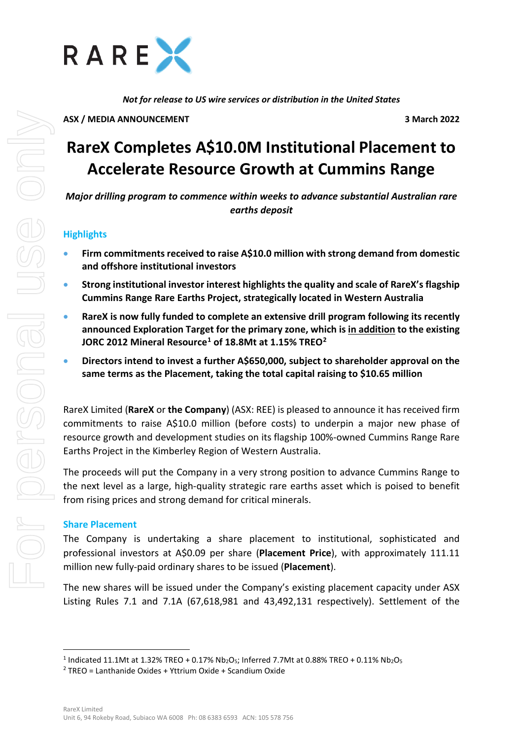

*Not for release to US wire services or distribution in the United States*

**ASX / MEDIA ANNOUNCEMENT 3 March 2022**

# **RareX Completes A\$10.0M Institutional Placement to Accelerate Resource Growth at Cummins Range**

*Major drilling program to commence within weeks to advance substantial Australian rare earths deposit*

## **Highlights**

- **Firm commitments received to raise A\$10.0 million with strong demand from domestic and offshore institutional investors**
- **Strong institutional investor interest highlights the quality and scale of RareX's flagship Cummins Range Rare Earths Project, strategically located in Western Australia**
- **RareX is now fully funded to complete an extensive drill program following its recently announced Exploration Target for the primary zone, which is in addition to the existing JORC 2012 Mineral Resource[1](#page-0-0) of 18.8Mt at 1.15% TREO[2](#page-0-1)**
- **Directors intend to invest a further A\$650,000, subject to shareholder approval on the same terms as the Placement, taking the total capital raising to \$10.65 million**

RareX Limited (**RareX** or **the Company**) (ASX: REE) is pleased to announce it has received firm commitments to raise A\$10.0 million (before costs) to underpin a major new phase of resource growth and development studies on its flagship 100%-owned Cummins Range Rare Earths Project in the Kimberley Region of Western Australia.

The proceeds will put the Company in a very strong position to advance Cummins Range to the next level as a large, high-quality strategic rare earths asset which is poised to benefit from rising prices and strong demand for critical minerals.

### **Share Placement**

The Company is undertaking a share placement to institutional, sophisticated and professional investors at A\$0.09 per share (**Placement Price**), with approximately 111.11 million new fully-paid ordinary shares to be issued (**Placement**).

The new shares will be issued under the Company's existing placement capacity under ASX Listing Rules 7.1 and 7.1A (67,618,981 and 43,492,131 respectively). Settlement of the

<span id="page-0-0"></span><sup>&</sup>lt;sup>1</sup> Indicated 11.1Mt at 1.32% TREO + 0.17% Nb<sub>2</sub>O<sub>5</sub>; Inferred 7.7Mt at 0.88% TREO + 0.11% Nb<sub>2</sub>O<sub>5</sub>

<span id="page-0-1"></span> $2$  TREO = Lanthanide Oxides + Yttrium Oxide + Scandium Oxide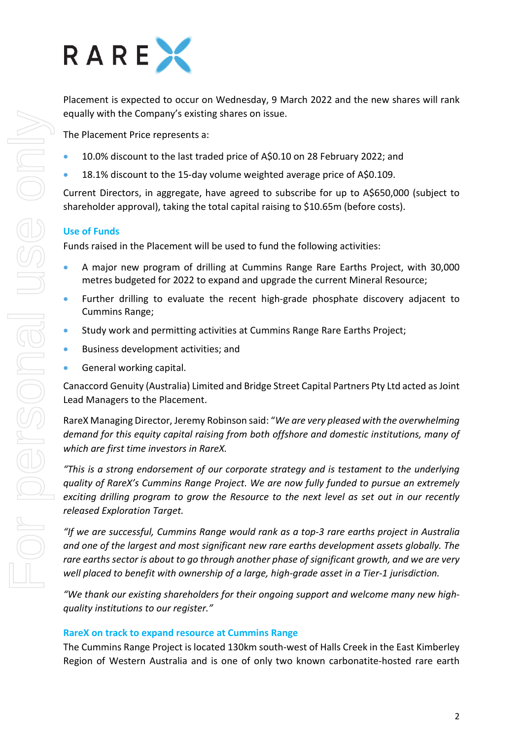

Placement is expected to occur on Wednesday, 9 March 2022 and the new shares will rank equally with the Company's existing shares on issue.

The Placement Price represents a:

- 10.0% discount to the last traded price of A\$0.10 on 28 February 2022; and
- 18.1% discount to the 15-day volume weighted average price of A\$0.109.

Current Directors, in aggregate, have agreed to subscribe for up to A\$650,000 (subject to shareholder approval), taking the total capital raising to \$10.65m (before costs).

### **Use of Funds**

Funds raised in the Placement will be used to fund the following activities:

- A major new program of drilling at Cummins Range Rare Earths Project, with 30,000 metres budgeted for 2022 to expand and upgrade the current Mineral Resource;
- Further drilling to evaluate the recent high-grade phosphate discovery adjacent to Cummins Range;
- Study work and permitting activities at Cummins Range Rare Earths Project;
- Business development activities; and
- General working capital.

Canaccord Genuity (Australia) Limited and Bridge Street Capital Partners Pty Ltd acted as Joint Lead Managers to the Placement.

RareX Managing Director, Jeremy Robinson said: "*We are very pleased with the overwhelming demand for this equity capital raising from both offshore and domestic institutions, many of which are first time investors in RareX.* 

*"This is a strong endorsement of our corporate strategy and is testament to the underlying quality of RareX's Cummins Range Project. We are now fully funded to pursue an extremely exciting drilling program to grow the Resource to the next level as set out in our recently released Exploration Target.* 

*"If we are successful, Cummins Range would rank as a top-3 rare earths project in Australia and one of the largest and most significant new rare earths development assets globally. The rare earths sector is about to go through another phase of significant growth, and we are very well placed to benefit with ownership of a large, high-grade asset in a Tier-1 jurisdiction.* 

*"We thank our existing shareholders for their ongoing support and welcome many new highquality institutions to our register."*

#### **RareX on track to expand resource at Cummins Range**

The Cummins Range Project is located 130km south-west of Halls Creek in the East Kimberley Region of Western Australia and is one of only two known carbonatite-hosted rare earth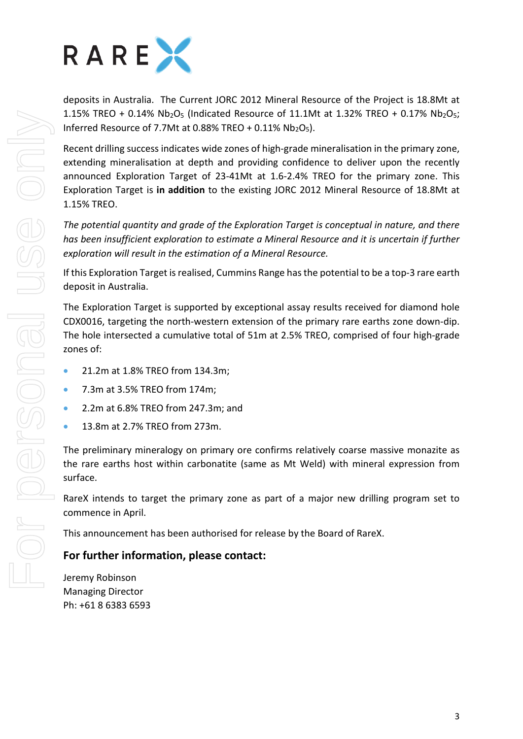

deposits in Australia. The Current JORC 2012 Mineral Resource of the Project is 18.8Mt at 1.15% TREO + 0.14%  $Nb_2O_5$  (Indicated Resource of 11.1Mt at 1.32% TREO + 0.17%  $Nb_2O_5$ ; Inferred Resource of 7.7Mt at 0.88% TREO +  $0.11\%$  Nb<sub>2</sub>O<sub>5</sub>).

Recent drilling success indicates wide zones of high-grade mineralisation in the primary zone, extending mineralisation at depth and providing confidence to deliver upon the recently announced Exploration Target of 23-41Mt at 1.6-2.4% TREO for the primary zone. This Exploration Target is **in addition** to the existing JORC 2012 Mineral Resource of 18.8Mt at 1.15% TREO.

*The potential quantity and grade of the Exploration Target is conceptual in nature, and there has been insufficient exploration to estimate a Mineral Resource and it is uncertain if further exploration will result in the estimation of a Mineral Resource.* 

If this Exploration Target is realised, Cummins Range has the potential to be a top-3 rare earth deposit in Australia.

The Exploration Target is supported by exceptional assay results received for diamond hole CDX0016, targeting the north-western extension of the primary rare earths zone down-dip. The hole intersected a cumulative total of 51m at 2.5% TREO, comprised of four high-grade zones of:

- 21.2m at 1.8% TREO from 134.3m;
- 7.3m at 3.5% TREO from 174m;
- 2.2m at 6.8% TREO from 247.3m; and
- 13.8m at 2.7% TREO from 273m.

The preliminary mineralogy on primary ore confirms relatively coarse massive monazite as the rare earths host within carbonatite (same as Mt Weld) with mineral expression from surface.

RareX intends to target the primary zone as part of a major new drilling program set to commence in April.

This announcement has been authorised for release by the Board of RareX.

# **For further information, please contact:**

Jeremy Robinson Managing Director Ph: +61 8 6383 6593